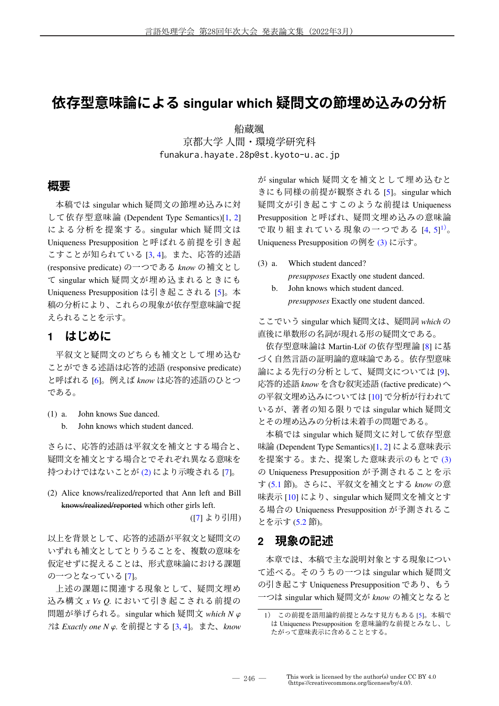# **依存型意味論による singular which 疑問文の節埋め込みの分析**

船蔵颯 京都大学 人間・環境学研究科 funakura.hayate.28p@st.kyoto-u.ac.jp

### **概要**

本稿では singular which 疑問文の節埋め込みに対 して依存型意味論 (Dependent Type Semantics)[1, 2] による分析を提案する。singular which 疑問文は Uniqueness Presupposition と呼ばれる前提を引き起 こすことが知られている [3, 4]。また、応答的述語 (responsive predicate) の一つである *know* の補文とし て singular which 疑問文が埋め込まれるときにも Uniqueness Presupposition は引き起こされる [5]。本 稿の分析により、これらの現象が依存型意味論で捉 えられることを示す。

## **1 はじめに**

平叙文と疑問文のどちらも補文として埋め込む ことができる述語は応答的述語 (responsive predicate) と呼ばれる [6]。例えば *know* は応答的述語のひとつ である。

- (1) a. John knows Sue danced.
	- b. John knows which student danced.

さらに、応答的述語は平叙文を補文とする場合と、 疑問文を補文とする場合とでそれぞれ異なる意味を 持つわけではないことが (2) により示唆される [7]。

(2) Alice knows/realized/reported that Ann left and Bill knows/realized/reported which other girls left.

([7] より引用)

以上を背景として、応答的述語が平叙文と疑問文の いずれも補文としてとりうることを、複数の意味を 仮定せずに捉えることは、形式意味論における課題 の一つとなっている [7]。

上述の課題に関連する現象として、疑問文埋め 込み構文 *x Vs Q.* において引き起こされる前提の 問題が挙げられる。singular which 疑問文 *which N ?は Exactly one N φ.* を前提とする [3, 4]。また、*know*  が singular which 疑問文を補文として埋め込むと きにも同様の前提が観察される [5]。singular which 疑問文が引き起こすこのような前提は Uniqueness Presupposition と呼ばれ、疑問文埋め込みの意味論 で取り組まれている現象の一つである [4, 5] <sup>1</sup>)。 Uniqueness Presupposition の例を (3) に示す。

- (3) a. Which student danced? *presupposes* Exactly one student danced.
	- b. John knows which student danced. *presupposes* Exactly one student danced.

ここでいう singular which 疑問文は、疑問詞 *which* の 直後に単数形の名詞が現れる形の疑問文である。

依存型意味論は Martin-Löf の依存型理論 [8] に基 づく自然言語の証明論的意味論である。依存型意味 論による先行の分析として、疑問文については [9]、 応答的述語 *know* を含む叙実述語 (factive predicate) へ の平叙文埋め込みについては [10] で分析が行われて いるが、著者の知る限りでは singular which 疑問文 とその埋め込みの分析は未着手の問題である。

本稿では singular which 疑問文に対して依存型意 味論 (Dependent Type Semantics)[1, 2] による意味表示 を提案する。また、提案した意味表示のもとで (3) の Uniqueness Presupposition が予測されることを示 す (5.1 節)。さらに、平叙文を補文とする *know* の意 味表示 [10] により、singular which 疑問文を補文とす る場合の Uniqueness Presupposition が予測されるこ とを示す (5.2 節)。

## **2 現象の記述**

本章では、本稿で主な説明対象とする現象につい て述べる。そのうちの一つは singular which 疑問文 の引き起こす Uniqueness Presupposition であり、もう 一つは singular which 疑問文が *know* の補文となると

<sup>1</sup>) この前提を語用論的前提とみなす見方もある [5]。本稿で は Uniqueness Presupposition を意味論的な前提とみなし、し たがって意味表示に含めることとする。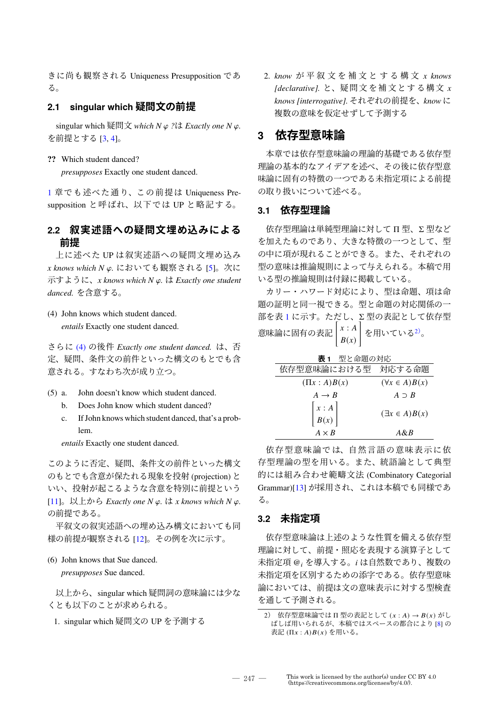きに尚も観察される Uniqueness Presupposition であ る。

### **2.1 singular which 疑問文の前提**

singular which 疑問文 *which N*  $\varphi$  ?は *Exactly one N*  $\varphi$ . を前提とする [3, 4]。

#### **??** Which student danced?

*presupposes* Exactly one student danced.

1 章でも述べた通り、この前提は Uniqueness Presupposition と呼ばれ、以下では UP と略記する。

## **2.2 叙実述語への疑問文埋め込みによる 前提**

上に述べた UP は叙実述語への疑問文埋め込み *x knows which N*  $\varphi$ *.* においても観察される [5]。次に 示すように、*x knows which N*  $\varphi$ *.* は *Exactly one student danced.* を含意する。

(4) John knows which student danced. *entails* Exactly one student danced.

さらに (4) の後件 *Exactly one student danced.* は、否 定、疑問、条件文の前件といった構文のもとでも含 意される。すなわち次が成り立つ。

- (5) a. John doesn't know which student danced.
	- b. Does John know which student danced?
	- c. If John knows which student danced, that's a problem.

*entails* Exactly one student danced.

このように否定、疑問、条件文の前件といった構文 のもとでも含意が保たれる現象を投射 (projection) と いい、投射が起こるような含意を特別に前提という  $[11]$ 。以上から *Exactly one N*  $\varphi$ *.* は *x knows which N*  $\varphi$ *.* の前提である。

平叙文の叙実述語への埋め込み構文においても同 様の前提が観察される [12]。その例を次に示す。

#### (6) John knows that Sue danced.

*presupposes* Sue danced.

以上から、singular which 疑問詞の意味論には少な くとも以下のことが求められる。

1. singular which 疑問文の UP を予測する

2. *know* が 平 叙 文 を 補 文 と す る 構 文 *x knows [declarative].* と、疑問文を補文とする構文 *x knows [interrogative].* それぞれの前提を、*know* に 複数の意味を仮定せずして予測する

## **3 依存型意味論**

本章では依存型意味論の理論的基礎である依存型 理論の基本的なアイデアを述べ、その後に依存型意 味論に固有の特徴の一つである未指定項による前提 の取り扱いについて述べる。

#### **3.1 依存型理論**

依存型理論は単純型理論に対して Π 型、Σ 型など を加えたものであり、大きな特徴の一つとして、型 の中に項が現れることができる。また、それぞれの 型の意味は推論規則によって与えられる。本稿で用 いる型の推論規則は付録に掲載している。

カリー・ハワード対応により、型は命題、項は命 題の証明と同一視できる。型と命題の対応関係の一 部を表 1 に示す。ただし、Σ 型の表記として依存型 ■ こス:(ニン) 。 ,こ,ここ、<br>意味論に固有の表記 │ *x* : *A*  $B(x)$ ī を用いている $2$ )。

| <b>表1</b> 型と命題の対応                           |                         |  |  |  |  |  |  |
|---------------------------------------------|-------------------------|--|--|--|--|--|--|
| 依存型意味論における型 対応する命題                          |                         |  |  |  |  |  |  |
| $(\Pi x : A)B(x)$                           | $(\forall x \in A)B(x)$ |  |  |  |  |  |  |
| $A \rightarrow B$                           | $A \supset B$           |  |  |  |  |  |  |
| $\begin{bmatrix} x:A \\ B(x) \end{bmatrix}$ | $(\exists x \in A)B(x)$ |  |  |  |  |  |  |
| $A \times B$                                | $A\&B$                  |  |  |  |  |  |  |

依存型意味論では、自然言語の意味表示に依 存型理論の型を用いる。また、統語論として典型 的には組み合わせ範疇文法 (Combinatory Categorial Grammar)[13] が採用され、これは本稿でも同様であ る。

### **3.2 未指定項**

依存型意味論は上述のような性質を備える依存型 理論に対して、前提・照応を表現する演算子として 未指定項 @  $_i$ を導入する。  $i$ は自然数であり、複数の 未指定項を区別するための添字である。依存型意味 論においては、前提は文の意味表示に対する型検査 を通して予測される。

 $\overline{2)}$  依存型意味論では Π 型の表記として  $(x : A) \rightarrow B(x)$  がし ばしば用いられるが、本稿ではスペースの都合により [8] の 表記  $(\Pi x : A)B(x)$ を用いる。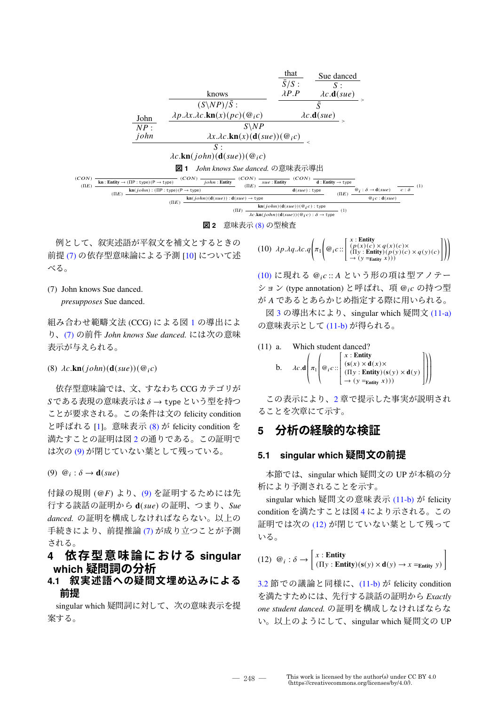|            |                                                                                      |                                                                          |                                                                                                              | that<br>$\bar{S}/S$ :                                                                                | Sue danced                     |                                             |                       |
|------------|--------------------------------------------------------------------------------------|--------------------------------------------------------------------------|--------------------------------------------------------------------------------------------------------------|------------------------------------------------------------------------------------------------------|--------------------------------|---------------------------------------------|-----------------------|
|            |                                                                                      |                                                                          |                                                                                                              |                                                                                                      | S:                             |                                             |                       |
|            |                                                                                      | knows                                                                    |                                                                                                              | $\lambda P.P$                                                                                        | $\lambda c \cdot d(sue)$       |                                             |                       |
|            | John                                                                                 | $(S\backslash NP)/\bar{S}$ :                                             |                                                                                                              |                                                                                                      | $\bar{S}$                      |                                             |                       |
|            |                                                                                      | $\lambda p. \lambda x. \lambda c.$ <b>kn</b> $(x)(pc)(@_ic)$             |                                                                                                              |                                                                                                      | $\lambda c \cdot d(sue)$       |                                             |                       |
|            | NP:                                                                                  |                                                                          | $S\backslash NP$                                                                                             |                                                                                                      |                                |                                             |                       |
|            | john<br>$\lambda x.\lambda c.\mathbf{kn}(x)(\mathbf{d}(sue))(\mathcal{Q}_ic)$        |                                                                          |                                                                                                              |                                                                                                      |                                |                                             |                       |
|            |                                                                                      | S:                                                                       |                                                                                                              |                                                                                                      |                                |                                             |                       |
|            | $\lambda c.$ <b>kn</b> $(john)$ <b><math>(d(sue))</math></b> $(\mathcal{Q}_i c)$     |                                                                          |                                                                                                              |                                                                                                      |                                |                                             |                       |
|            |                                                                                      | John knows Sue danced. の意味表示導出<br>図 1                                    |                                                                                                              |                                                                                                      |                                |                                             |                       |
| (CON)      | $\mathbf{kn}:$ Entity $\rightarrow (\Pi P : \text{type})(P \rightarrow \text{type})$ | (CON)<br>$iohn:$ Entity                                                  | (CON)<br>$sue$ : Entity                                                                                      | (CON)                                                                                                | $d:$ Entity $\rightarrow$ type |                                             |                       |
| $( \Pi E)$ | $\text{kn}(john) : (\Pi P : type)(P \rightarrow type)$                               |                                                                          | $( \Pi E)$                                                                                                   | $\mathbf{d}(sue)$ : type                                                                             |                                | $\mathcal{Q}_i : \delta \rightarrow d(sue)$ | - (1)<br>$c : \delta$ |
|            |                                                                                      | $\text{kn}(john)(\text{d}(sue)) : \text{d}(sue) \rightarrow \text{type}$ |                                                                                                              |                                                                                                      |                                | $\mathcal{Q}_i c$ : d(sue)                  |                       |
|            |                                                                                      |                                                                          |                                                                                                              |                                                                                                      |                                |                                             |                       |
|            |                                                                                      |                                                                          |                                                                                                              |                                                                                                      |                                |                                             |                       |
|            | $( \Pi E)$                                                                           | $( \Pi E)$<br>$(\Pi I)$<br>.                                             | $\overline{\lambda c.\text{kn}(john)(\text{d}(sue))(\mathcal{Q},c)}:\delta \to \text{type}$<br>ᅕᇏᇿᆠᆖᅠᇮᅠᇂᅖᄔᄾᆂ | $\overline{\mathbf{kn}(john)}(\mathbf{d}(sue))(\textcolor{red}{@}i\textcolor{red}{c}):\textsf{type}$ | $( \Pi E)$<br>(1)              |                                             |                       |

**図 2** 意味表示 (8) の型検査

例として、叙実述語が平叙文を補文とするときの 前提 (7) の依存型意味論による予測 [10] について述 べる。

(7) John knows Sue danced.

*presupposes* Sue danced.

組み合わせ範疇文法 (CCG) による図 1 の導出によ り、(7) の前件 *John knows Sue danced.* には次の意味 表示が与えられる。

#### (8)  $\lambda c.\mathbf{kn}(iohn)(\mathbf{d}(sue))$  ( $@_ic$ )

依存型意味論では、文、すなわち CCG カテゴリが  $S$ である表現の意味表示は $\delta \rightarrow$  type という型を持つ ことが要求される。この条件は文の felicity condition と呼ばれる [1]。意味表示 (8) が felicity condition を 満たすことの証明は図 2 の通りである。この証明で は次の (9) が閉じていない葉として残っている。

 $(9) \ @i : \delta \rightarrow \mathbf{d}(sue)$ 

付録の規則 (@ $F$ ) より、(9) を証明するためには先 行する談話の証明から **d**() の証明、つまり、*Sue danced.* の証明を構成しなければならない。以上の 手続きにより、前提推論 (7) が成り立つことが予測 される。

## **4 依存型意味論における singular which 疑問詞の分析**

**4.1 叙実述語への疑問文埋め込みによる 前提**

singular which 疑問詞に対して、次の意味表示を提 案する。

(10)  $\lambda p \cdot \lambda q \cdot \lambda c \cdot q \bigg(\pi_1$  $\left( \textcircled{a}_i c \text{::} \left[ \begin{smallmatrix} x : \textbf{Entity} \\ (p(x)(c) \times q(x)(c) \times \\ (\Pi \textbf{y} : \textbf{Entity})(p(\textbf{y})(c) \times q(\textbf{y})(c) \\ \rightarrow (\textbf{y} =_{\textbf{Entity}} x))) \end{smallmatrix} \right] \right)$ 

(10) に現れる @ c :: A という形の項は型アノテー ション (type annotation) と呼ばれ、項 @ ic の持つ型 が A であるとあらかじめ指定する際に用いられる。

図 3 の導出木により、singular which 疑問文 (11-a) の意味表示として (11-b) が得られる。

(11) a. Which student denced?  
\nb. 
$$
\lambda c \cdot d \left( \pi_1 \begin{pmatrix} x : \text{Entity} \\ \text{(s(x) × d(x) × d(x))} \\ (\text{IIy} : \text{Entity}) (\text{s(y) × d(y))} \\ \rightarrow (\text{y} = \text{Entity} x))) \end{pmatrix} \right)
$$

この表示により、2章で提示した事実が説明され ることを次章にて示す。

## **5 分析の経験的な検証**

#### **5.1 singular which 疑問文の前提**

本節では、singular which 疑問文の UP が本稿の分 析により予測されることを示す。

singular which 疑問文の意味表示 (11-b) が felicity condition を満たすことは図 4 により示される。この 証明では次の (12) が閉じていない葉として残って いる。

(12) 
$$
\mathcal{Q}_i : \delta \to \left[ \begin{array}{c} x : \text{Entity} \\ (\Pi y : \text{Entity}) (\mathbf{s}(y) \times \mathbf{d}(y) \to x =_{\text{Entity}} y) \end{array} \right]
$$

3.2 節での議論と同様に、(11-b) が felicity condition を満たすためには、先行する談話の証明から *Exactly one student danced.* の証明を構成しなければならな い。以上のようにして、singular which 疑問文の UP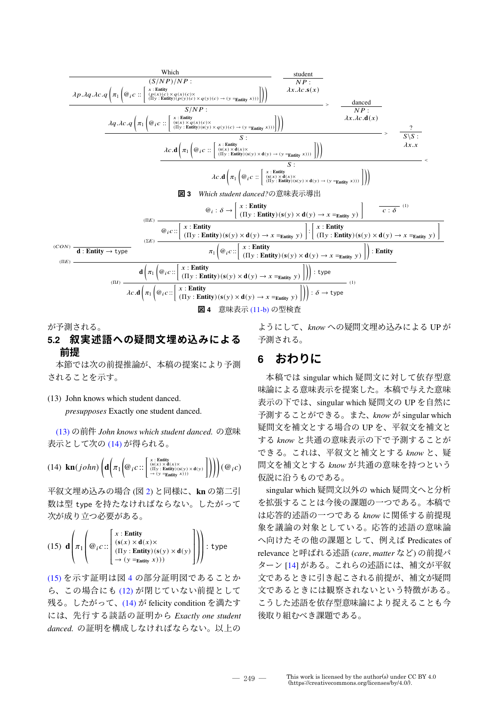

が予測される。

## **5.2 叙実述語への疑問文埋め込みによる 前提**

本節では次の前提推論が、本稿の提案により予測 されることを示す。

(13) John knows which student danced.

*presupposes* Exactly one student danced.

(13) の前件 *John knows which student danced.* の意味 表示として次の (14) が得られる。

(14) 
$$
\text{kn}(john) \left( \text{d} \left( \pi_1 \left( \text{Q}_{iC} \right) : \left[ \text{SUS}(x) \times \text{d}(x) \times \text{d}(y) \right] \right) \right) \right) (\text{Q}_{iC})
$$

平叙文埋め込みの場合 (図 2) と同様に、**kn** の第二引 数は型 type を持たなければならない。したがって 次が成り立つ必要がある。

(15) 
$$
\mathbf{d} \left( \pi_1 \left( \omega_i c : : \begin{bmatrix} x : \text{Entity} \\ (s(x) \times d(x) \times d(x)) \\ (\Pi y : \text{Entity}) (s(y) \times d(y) \\ \to (y = \text{entity } x))) \end{bmatrix} \right) : \text{type}
$$

(15) を示す証明は図 4 の部分証明図であることか ら、この場合にも (12) が閉じていない前提として 残る。したがって、(14) が felicity condition を満たす には、先行する談話の証明から *Exactly one student danced.* の証明を構成しなければならない。以上の ようにして、*know* への疑問文埋め込みによる UP が 予測される。

## **6 おわりに**

本稿では singular which 疑問文に対して依存型意 味論による意味表示を提案した。本稿で与えた意味 表示の下では、singular which 疑問文の UP を自然に 予測することができる。また、*know* が singular which 疑問文を補文とする場合の UP を、平叙文を補文と する *know* と共通の意味表示の下で予測することが できる。これは、平叙文と補文とする *know* と、疑 問文を補文とする *know* が共通の意味を持つという 仮説に沿うものである。

singular which 疑問文以外の which 疑問文へと分析 を拡張することは今後の課題の一つである。本稿で は応答的述語の一つである *know* に関係する前提現 象を議論の対象としている。応答的述語の意味論 へ向けたその他の課題として、例えば Predicates of relevance と呼ばれる述語 (*care*, *matter* など) の前提パ ターン [14] がある。これらの述語には、補文が平叙 文であるときに引き起こされる前提が、補文が疑問 文であるときには観察されないという特徴がある。 こうした述語を依存型意味論により捉えることも今 後取り組むべき課題である。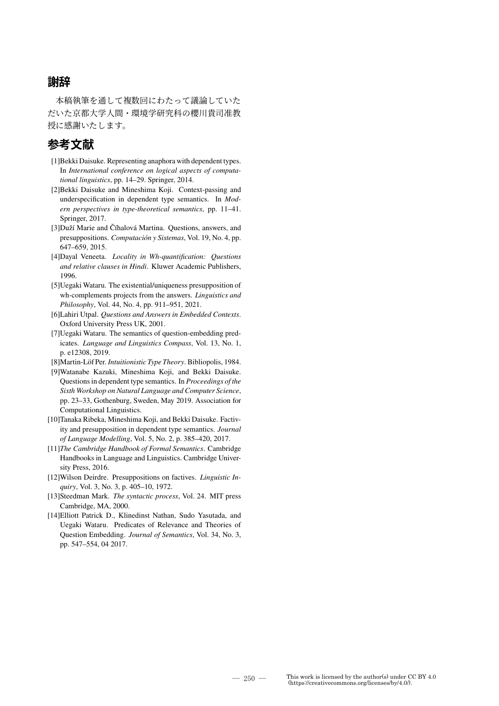## **謝辞**

本稿執筆を通して複数回にわたって議論していた だいた京都大学人間・環境学研究科の櫻川貴司准教 授に感謝いたします。

# **参考文献**

- [1]Bekki Daisuke. Representing anaphora with dependent types. In *International conference on logical aspects of computational linguistics*, pp. 14–29. Springer, 2014.
- [2]Bekki Daisuke and Mineshima Koji. Context-passing and underspecification in dependent type semantics. In *Modern perspectives in type-theoretical semantics*, pp. 11–41. Springer, 2017.
- [3]Duží Marie and Číhalová Martina. Questions, answers, and presuppositions. *Computación y Sistemas*, Vol. 19, No. 4, pp. 647–659, 2015.
- [4]Dayal Veneeta. *Locality in Wh-quantification: Questions and relative clauses in Hindi*. Kluwer Academic Publishers, 1996.
- [5]Uegaki Wataru. The existential/uniqueness presupposition of wh-complements projects from the answers. *Linguistics and Philosophy*, Vol. 44, No. 4, pp. 911–951, 2021.
- [6]Lahiri Utpal. *Questions and Answers in Embedded Contexts*. Oxford University Press UK, 2001.
- [7]Uegaki Wataru. The semantics of question-embedding predicates. *Language and Linguistics Compass*, Vol. 13, No. 1, p. e12308, 2019.
- [8]Martin-Löf Per. *Intuitionistic Type Theory*. Bibliopolis, 1984.
- [9]Watanabe Kazuki, Mineshima Koji, and Bekki Daisuke. Questions in dependent type semantics. In *Proceedings of the Sixth Workshop on Natural Language and Computer Science*, pp. 23–33, Gothenburg, Sweden, May 2019. Association for Computational Linguistics.
- [10]Tanaka Ribeka, Mineshima Koji, and Bekki Daisuke. Factivity and presupposition in dependent type semantics. *Journal of Language Modelling*, Vol. 5, No. 2, p. 385–420, 2017.
- [11]*The Cambridge Handbook of Formal Semantics*. Cambridge Handbooks in Language and Linguistics. Cambridge University Press, 2016.
- [12]Wilson Deirdre. Presuppositions on factives. *Linguistic Inquiry*, Vol. 3, No. 3, p. 405–10, 1972.
- [13]Steedman Mark. *The syntactic process*, Vol. 24. MIT press Cambridge, MA, 2000.
- [14]Elliott Patrick D., Klinedinst Nathan, Sudo Yasutada, and Uegaki Wataru. Predicates of Relevance and Theories of Question Embedding. *Journal of Semantics*, Vol. 34, No. 3, pp. 547–554, 04 2017.